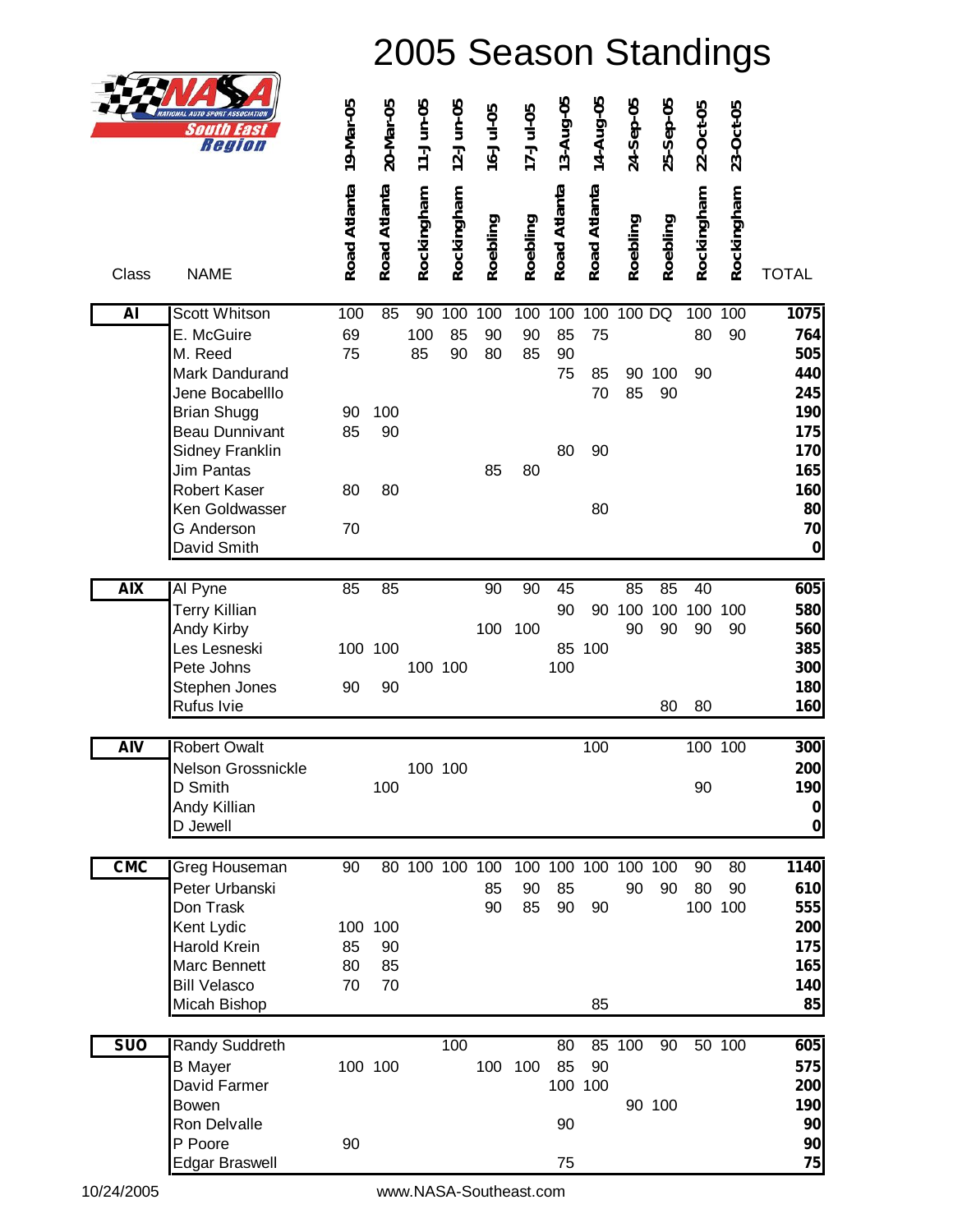| <b>NATIONAL AUTO SPORT ASSOCIATION</b> |
|----------------------------------------|
| South East<br>Region                   |

|            | <b>NATIONAL AUTO SPORT ASSOCIATION</b><br>South<br>44SI<br>Region | 19-Mar-05    | 20-Mar-05    | 11-Jun-05      | 12-Jun-05  | $16 - Jul - 05$ | 17-Jul-05       | 13-Aug-05    | 14-Aug-05    | 24-Sep-05 | 25-Sep-05 | 22-Oct-05     | 23-Oct-05        |                    |
|------------|-------------------------------------------------------------------|--------------|--------------|----------------|------------|-----------------|-----------------|--------------|--------------|-----------|-----------|---------------|------------------|--------------------|
| Class      | <b>NAME</b>                                                       | Road Atlanta | Road Atlanta | Rockingham     | Rockingham | Roebling        | Roebling        | Road Atlanta | Road Atlanta | Roebling  | Roebling  | Rockingham    | Rockingham       | <b>TOTAL</b>       |
| <b>AI</b>  | <b>Scott Whitson</b>                                              | 100          | 85           | 90             | 100        | 100             | 100             | 100          | 100          | 100 DQ    |           | 100           | $\overline{100}$ | 1075               |
|            | E. McGuire                                                        | 69           |              | 100            | 85         | 90              | 90              | 85           | 75           |           |           | 80            | 90               | 764                |
|            | M. Reed<br>Mark Dandurand                                         | 75           |              | 85             | 90         | 80              | 85              | 90<br>75     | 85           | 90        | 100       | 90            |                  | 505<br>440         |
|            | Jene Bocabelllo                                                   |              |              |                |            |                 |                 |              | 70           | 85        | 90        |               |                  | 245                |
|            | <b>Brian Shugg</b>                                                | 90           | 100          |                |            |                 |                 |              |              |           |           |               |                  | 190                |
|            | <b>Beau Dunnivant</b>                                             | 85           | 90           |                |            |                 |                 |              |              |           |           |               |                  | 175                |
|            | Sidney Franklin<br><b>Jim Pantas</b>                              |              |              |                |            | 85              | 80              | 80           | 90           |           |           |               |                  | 170<br>165         |
|            | Robert Kaser                                                      | 80           | 80           |                |            |                 |                 |              |              |           |           |               |                  | 160                |
|            | Ken Goldwasser                                                    |              |              |                |            |                 |                 |              | 80           |           |           |               |                  | 80                 |
|            | <b>G</b> Anderson                                                 | 70           |              |                |            |                 |                 |              |              |           |           |               |                  | 70                 |
|            | David Smith                                                       |              |              |                |            |                 |                 |              |              |           |           |               |                  | $\mathbf 0$        |
| <b>AIX</b> | Al Pyne                                                           | 85           | 85           |                |            | 90              | $\overline{90}$ | 45           |              | 85        | 85        | 40            |                  | 605                |
|            | <b>Terry Killian</b>                                              |              |              |                |            |                 |                 | 90           | 90           | 100       | 100       | 100           | 100              | 580                |
|            | Andy Kirby                                                        |              |              |                |            | 100             | 100             |              |              | 90        | 90        | 90            | 90               | 560                |
|            | Les Lesneski                                                      |              | 100 100      |                |            |                 |                 | 85           | 100          |           |           |               |                  | 385                |
|            | Pete Johns<br>Stephen Jones                                       | 90           | 90           |                | 100 100    |                 |                 | 100          |              |           |           |               |                  | 300<br>180         |
|            | Rufus Ivie                                                        |              |              |                |            |                 |                 |              |              |           | 80        | 80            |                  | 160                |
|            |                                                                   |              |              |                |            |                 |                 |              |              |           |           |               |                  |                    |
| <b>AIV</b> | <b>Robert Owalt</b>                                               |              |              |                |            |                 |                 |              | 100          |           |           | 100 100       |                  | 300                |
|            | Nelson Grossnickle                                                |              |              |                | 100 100    |                 |                 |              |              |           |           |               |                  | 200                |
|            | D Smith<br>Andy Killian                                           |              | 100          |                |            |                 |                 |              |              |           |           | 90            |                  | 190<br>$\mathbf 0$ |
|            | D Jewell                                                          |              |              |                |            |                 |                 |              |              |           |           |               |                  | $\bf{0}$           |
|            |                                                                   |              |              |                |            |                 |                 |              |              |           |           |               |                  |                    |
| <b>CMC</b> | Greg Houseman                                                     | 90           |              | 80 100 100 100 |            |                 | 100             | 100 100      |              | 100 100   |           | 90            | 80               | 1140               |
|            | Peter Urbanski<br>Don Trask                                       |              |              |                |            | 85<br>90        | 90<br>85        | 85<br>90     | 90           | 90        | 90        | 80<br>100 100 | 90               | 610<br>555         |
|            | Kent Lydic                                                        |              | 100 100      |                |            |                 |                 |              |              |           |           |               |                  | 200                |
|            | Harold Krein                                                      | 85           | 90           |                |            |                 |                 |              |              |           |           |               |                  | 175                |
|            | Marc Bennett                                                      | 80           | 85           |                |            |                 |                 |              |              |           |           |               |                  | 165                |
|            | <b>Bill Velasco</b><br>Micah Bishop                               | 70           | 70           |                |            |                 |                 |              | 85           |           |           |               |                  | 140<br>85          |
|            |                                                                   |              |              |                |            |                 |                 |              |              |           |           |               |                  |                    |
| <b>SUO</b> | Randy Suddreth                                                    |              |              |                | 100        |                 |                 | 80           |              | 85 100    | 90        |               | 50 100           | 605                |
|            | <b>B</b> Mayer                                                    |              | 100 100      |                |            | 100             | 100             | 85           | 90           |           |           |               |                  | 575                |
|            | David Farmer                                                      |              |              |                |            |                 |                 |              | 100 100      |           |           |               |                  | 200                |
|            | Bowen<br>Ron Delvalle                                             |              |              |                |            |                 |                 | 90           |              |           | 90 100    |               |                  | 190<br>90          |
|            | P Poore                                                           | 90           |              |                |            |                 |                 |              |              |           |           |               |                  | 90                 |
|            | <b>Edgar Braswell</b>                                             |              |              |                |            |                 |                 | 75           |              |           |           |               |                  | 75                 |

10/24/2005 [www.NASA-Southeast.com](http://www.pdfdesk.com)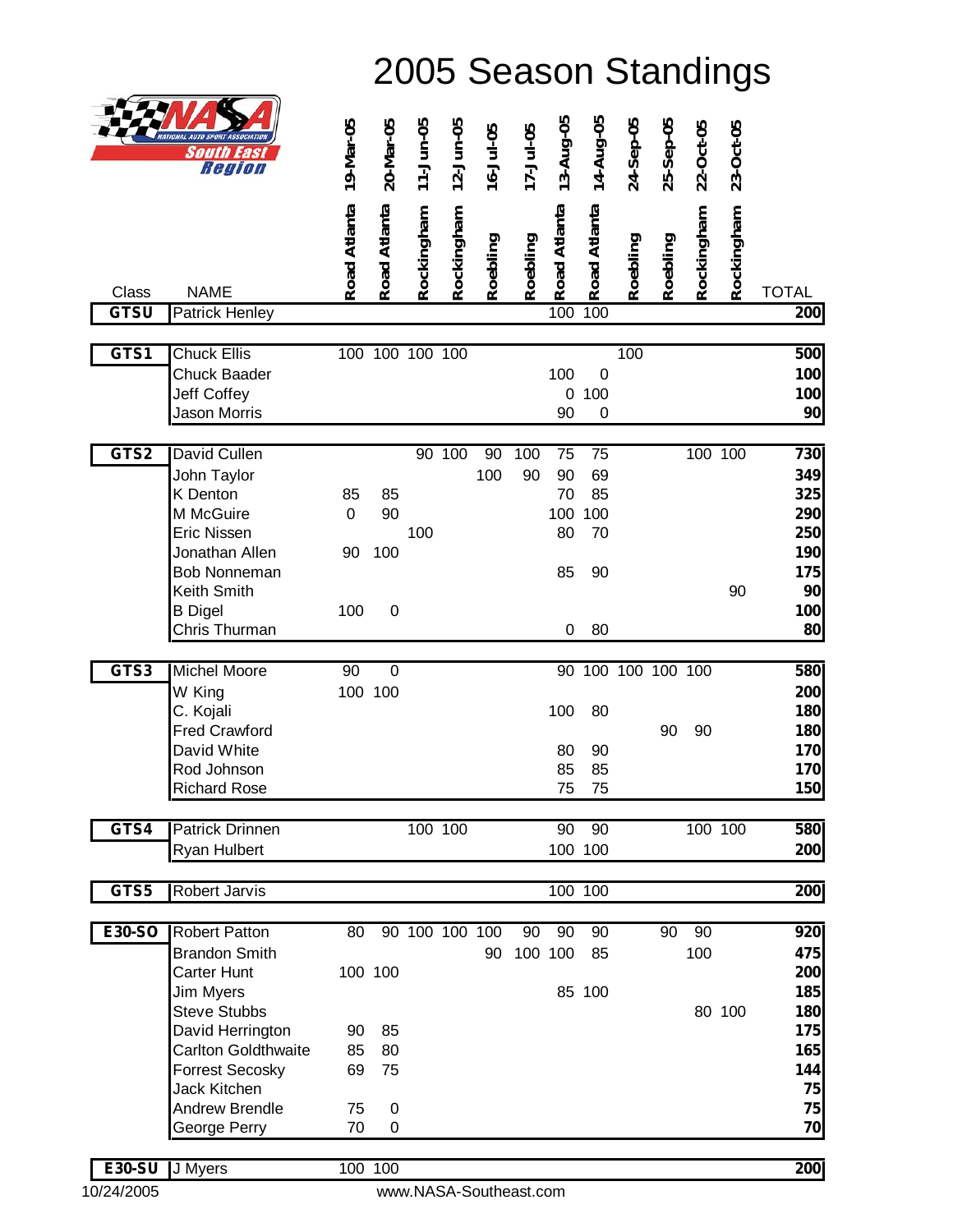|               | NATIONAL AUTO SPORT ASSOCIATIO<br>South<br>Easl<br>Region | 19-Mar-05    | 20-Mar-05        | 11-Jun-05      | 12-Jun-05  | 16-Jul-05 | 17-Jul-05 | 13-Aug-05        | 14-Aug-05       | 24-Sep-05       | 25-Sep-05 | 22-Oct-05  | 23-Oct-05  |              |
|---------------|-----------------------------------------------------------|--------------|------------------|----------------|------------|-----------|-----------|------------------|-----------------|-----------------|-----------|------------|------------|--------------|
|               |                                                           | Road Atlanta | Road Atlanta     | Rockingham     | Rockingham | Roebling  | Roebling  | Road Atlanta     | Road Atlanta    | Roebling        | Roebling  | Rockingham | Rockingham |              |
| Class         | <b>NAME</b>                                               |              |                  |                |            |           |           |                  |                 |                 |           |            |            | <b>TOTAL</b> |
| <b>GTSU</b>   | <b>Patrick Henley</b>                                     |              |                  |                |            |           |           | 100              | 100             |                 |           |            |            | 200          |
|               |                                                           |              |                  |                |            |           |           |                  |                 |                 |           |            |            |              |
| GTS1          | <b>Chuck Ellis</b>                                        |              | 100 100 100 100  |                |            |           |           |                  |                 | 100             |           |            |            | 500          |
|               | Chuck Baader                                              |              |                  |                |            |           |           | 100              | $\mathbf 0$     |                 |           |            |            | 100          |
|               | Jeff Coffey                                               |              |                  |                |            |           |           | $\mathbf 0$      | 100             |                 |           |            |            | 100          |
|               | Jason Morris                                              |              |                  |                |            |           |           | 90               | $\mathbf 0$     |                 |           |            |            | 90           |
| GTS2          | David Cullen                                              |              |                  |                | 90 100     | 90        | 100       | 75               | $\overline{75}$ |                 |           |            | 100 100    | 730          |
|               | John Taylor                                               |              |                  |                |            | 100       | 90        | 90               | 69              |                 |           |            |            | 349          |
|               | <b>K</b> Denton                                           | 85           | 85               |                |            |           |           | 70               | 85              |                 |           |            |            | 325          |
|               | M McGuire                                                 | 0            | 90               |                |            |           |           | 100              | 100             |                 |           |            |            | 290          |
|               | Eric Nissen                                               |              |                  | 100            |            |           |           | 80               | 70              |                 |           |            |            | 250          |
|               | Jonathan Allen                                            | 90           | 100              |                |            |           |           |                  |                 |                 |           |            |            | 190          |
|               | <b>Bob Nonneman</b>                                       |              |                  |                |            |           |           | 85               | 90              |                 |           |            |            | 175          |
|               | Keith Smith                                               |              |                  |                |            |           |           |                  |                 |                 |           |            | 90         | 90           |
|               | <b>B</b> Digel<br>Chris Thurman                           | 100          | $\mathbf 0$      |                |            |           |           | $\boldsymbol{0}$ | 80              |                 |           |            |            | 100<br>80    |
|               |                                                           |              |                  |                |            |           |           |                  |                 |                 |           |            |            |              |
| GTS3          | <b>Michel Moore</b>                                       | 90           | $\boldsymbol{0}$ |                |            |           |           | 90               |                 | 100 100 100 100 |           |            |            | 580          |
|               | W King                                                    |              | 100 100          |                |            |           |           |                  |                 |                 |           |            |            | 200          |
|               | C. Kojali                                                 |              |                  |                |            |           |           | 100              | 80              |                 |           |            |            | 180          |
|               | <b>Fred Crawford</b>                                      |              |                  |                |            |           |           |                  |                 |                 | 90        | 90         |            | 180          |
|               | David White                                               |              |                  |                |            |           |           | 80               | 90              |                 |           |            |            | 170          |
|               | Rod Johnson                                               |              |                  |                |            |           |           | 85               | 85              |                 |           |            |            | 170          |
|               | <b>Richard Rose</b>                                       |              |                  |                |            |           |           | 75               | 75              |                 |           |            |            | 150          |
| GTS4          | <b>Patrick Drinnen</b>                                    |              |                  |                | 100 100    |           |           | 90               | 90              |                 |           |            | 100 100    | 580          |
|               | Ryan Hulbert                                              |              |                  |                |            |           |           |                  | 100 100         |                 |           |            |            | 200          |
|               |                                                           |              |                  |                |            |           |           |                  |                 |                 |           |            |            |              |
| GTS5          | <b>Robert Jarvis</b>                                      |              |                  |                |            |           |           |                  | 100 100         |                 |           |            |            | 200          |
|               |                                                           |              |                  |                |            |           |           |                  |                 |                 |           |            |            |              |
| E30-SO        | <b>Robert Patton</b>                                      | 80           |                  | 90 100 100 100 |            |           | 90        | 90               | 90              |                 | 90        | 90         |            | 920          |
|               | <b>Brandon Smith</b>                                      |              |                  |                |            | 90        | 100 100   |                  | 85              |                 |           | 100        |            | 475          |
|               | Carter Hunt                                               |              | 100 100          |                |            |           |           |                  |                 |                 |           |            |            | 200          |
|               | <b>Jim Myers</b>                                          |              |                  |                |            |           |           |                  | 85 100          |                 |           |            |            | 185          |
|               | <b>Steve Stubbs</b>                                       |              |                  |                |            |           |           |                  |                 |                 |           |            | 80 100     | 180          |
|               | David Herrington<br><b>Carlton Goldthwaite</b>            | 90<br>85     | 85<br>80         |                |            |           |           |                  |                 |                 |           |            |            | 175<br>165   |
|               | <b>Forrest Secosky</b>                                    | 69           | 75               |                |            |           |           |                  |                 |                 |           |            |            | 144          |
|               | Jack Kitchen                                              |              |                  |                |            |           |           |                  |                 |                 |           |            |            | 75           |
|               | <b>Andrew Brendle</b>                                     | 75           | 0                |                |            |           |           |                  |                 |                 |           |            |            | 75           |
|               | George Perry                                              | 70           | 0                |                |            |           |           |                  |                 |                 |           |            |            | 70           |
|               |                                                           |              |                  |                |            |           |           |                  |                 |                 |           |            |            |              |
| <b>E30-SU</b> | J Myers                                                   |              | 100 100          |                |            |           |           |                  |                 |                 |           |            |            | 200          |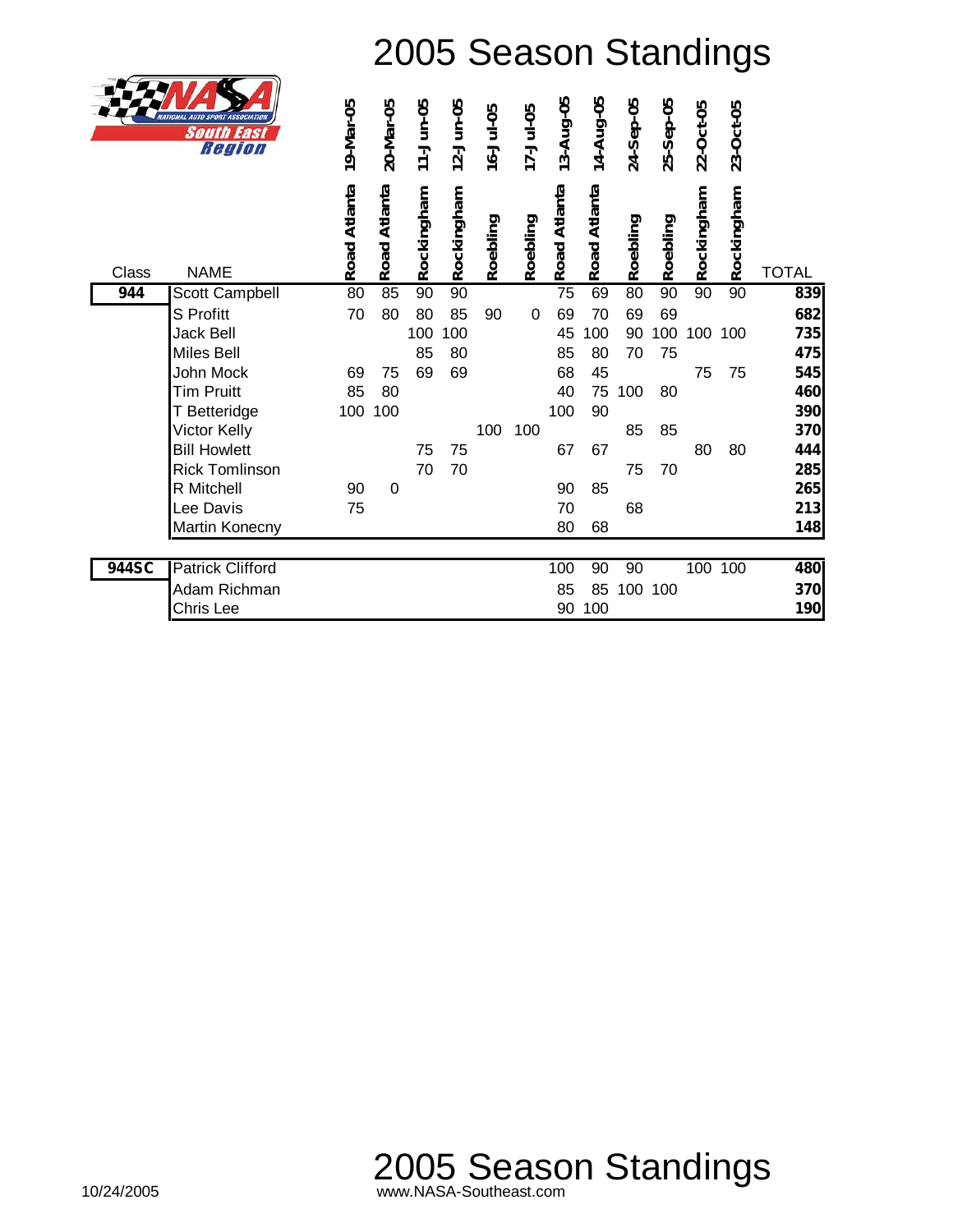

| ATA N | <b>AUTO SPORT ASSOCIATION</b><br>South<br>East<br>Region | 19-Mar-05    | 20-Mar-05    | 11-Jun-05  | 12-Jun-05                 | 16-Jul-05 | 17-Jul-05 | 13-Aug-05    | 14-Aug-05    | 24-Sep-05 | 25-Sep-05 | 22-Oct-05  | 23-Oct-05  |              |
|-------|----------------------------------------------------------|--------------|--------------|------------|---------------------------|-----------|-----------|--------------|--------------|-----------|-----------|------------|------------|--------------|
| Class | <b>NAME</b>                                              | Road Atlanta | Road Atlanta | Rockingham | <mark>S</mark> Rockingham | Roebling  | Roebling  | Road Atlanta | Road Atlanta | Roebling  | Roebling  | Rockingham | Rockingham | <b>TOTAL</b> |
| 944   | Scott Campbell                                           | 80           | 85           | 90         |                           |           |           | 75           | 69           | 80        | 90        | 90         | 90         | 839          |
|       | S Profitt                                                | 70           | 80           | 80         | 85                        | 90        | 0         | 69           | 70           | 69        | 69        |            |            | 682          |
|       | Jack Bell                                                |              |              | 100        | 100                       |           |           | 45           | 100          | 90        | 100       | 100        | 100        | 735          |
|       | Miles Bell                                               |              |              | 85         | 80                        |           |           | 85           | 80           | 70        | 75        |            |            | 475          |
|       | John Mock                                                | 69           | 75           | 69         | 69                        |           |           | 68           | 45           |           |           | 75         | 75         | 545          |
|       | <b>Tim Pruitt</b>                                        | 85           | 80           |            |                           |           |           | 40           | 75           | 100       | 80        |            |            | 460          |
|       | T Betteridge                                             | 100          | 100          |            |                           |           |           | 100          | 90           |           |           |            |            | 390          |
|       | Victor Kelly                                             |              |              |            |                           | 100       | 100       |              |              | 85        | 85        |            |            | 370          |
|       | <b>Bill Howlett</b>                                      |              |              | 75         | 75                        |           |           | 67           | 67           |           |           | 80         | 80         | 444          |
|       | <b>Rick Tomlinson</b>                                    |              |              | 70         | 70                        |           |           |              |              | 75        | 70        |            |            | 285          |
|       | R Mitchell                                               | 90           | 0            |            |                           |           |           | 90           | 85           |           |           |            |            | 265          |
|       | Lee Davis                                                | 75           |              |            |                           |           |           | 70           |              | 68        |           |            |            | 213          |
|       | Martin Konecny                                           |              |              |            |                           |           |           | 80           | 68           |           |           |            |            | 148          |
| 944SC | <b>Patrick Clifford</b>                                  |              |              |            |                           |           |           | 100          | 90           | 90        |           | 100        | 100        | 480          |
|       | Adam Richman                                             |              |              |            |                           |           |           | 85           | 85           |           | 100 100   |            |            | 370          |
|       | Chris Lee                                                |              |              |            |                           |           |           | 90           | 100          |           |           |            |            | 190          |
|       |                                                          |              |              |            |                           |           |           |              |              |           |           |            |            |              |

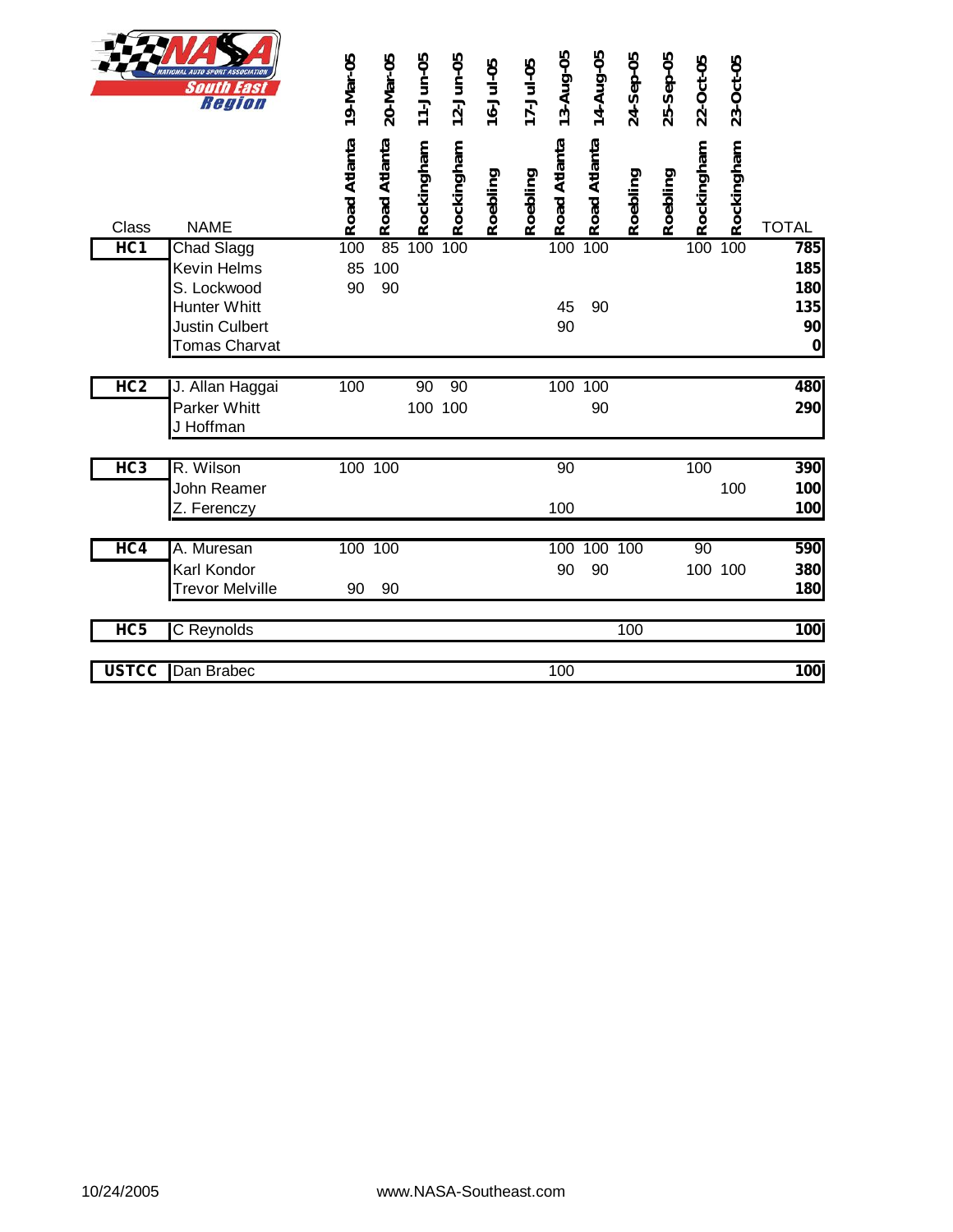|                 | <b>IATIONAL AUTO SPORT ASSOCIATIO</b><br><b>South East</b><br>Region                                      | 19-Mar-05       | 20-Mar-05       | 11-Jun-05     | 12-Jun-05  | $16 - Ju - 05$ | 17-Jul-05 | 13-Aug-05       | 14-Aug-05     | 24-Sep-05 | 25-Sep-05 | 22-Oct-05     | 23-Oct-05  |                                                    |
|-----------------|-----------------------------------------------------------------------------------------------------------|-----------------|-----------------|---------------|------------|----------------|-----------|-----------------|---------------|-----------|-----------|---------------|------------|----------------------------------------------------|
| Class           | <b>NAME</b>                                                                                               | Road Atlanta    | Road Atlanta    | Rockingham    | Rockingham | Roebling       | Roebling  | Road Atlanta    | Road Atlanta  | Roebling  | Roebling  | Rockingham    | Rockingham | <b>TOTAL</b>                                       |
| HC <sub>1</sub> | <b>Chad Slagg</b><br>Kevin Helms<br>S. Lockwood<br><b>Hunter Whitt</b><br>Justin Culbert<br>Tomas Charvat | 100<br>85<br>90 | 85<br>100<br>90 | 100           | 100        |                |           | 100<br>45<br>90 | 100<br>90     |           |           | 100           | 100        | 785<br>185<br>180<br>135<br>90<br>$\boldsymbol{0}$ |
| HC <sub>2</sub> | J. Allan Haggai<br><b>Parker Whitt</b><br>J Hoffman                                                       | 100             |                 | 90<br>100 100 | 90         |                |           |                 | 100 100<br>90 |           |           |               |            | 480<br>290                                         |
| HC3             | R. Wilson<br>John Reamer<br>Z. Ferenczy                                                                   | 100 100         |                 |               |            |                |           | 90<br>100       |               |           |           | 100           | 100        | 390<br>100<br>100                                  |
| HC4             | A. Muresan<br>Karl Kondor<br><b>Trevor Melville</b>                                                       | 100 100<br>90   | 90              |               |            |                |           | 100<br>90       | 100 100<br>90 |           |           | 90<br>100 100 |            | 590<br>380<br>180                                  |
| HC5             | C Reynolds                                                                                                |                 |                 |               |            |                |           |                 |               | 100       |           |               |            | 100                                                |
| <b>USTCC</b>    | Dan Brabec                                                                                                |                 |                 |               |            |                |           | 100             |               |           |           |               |            | 100                                                |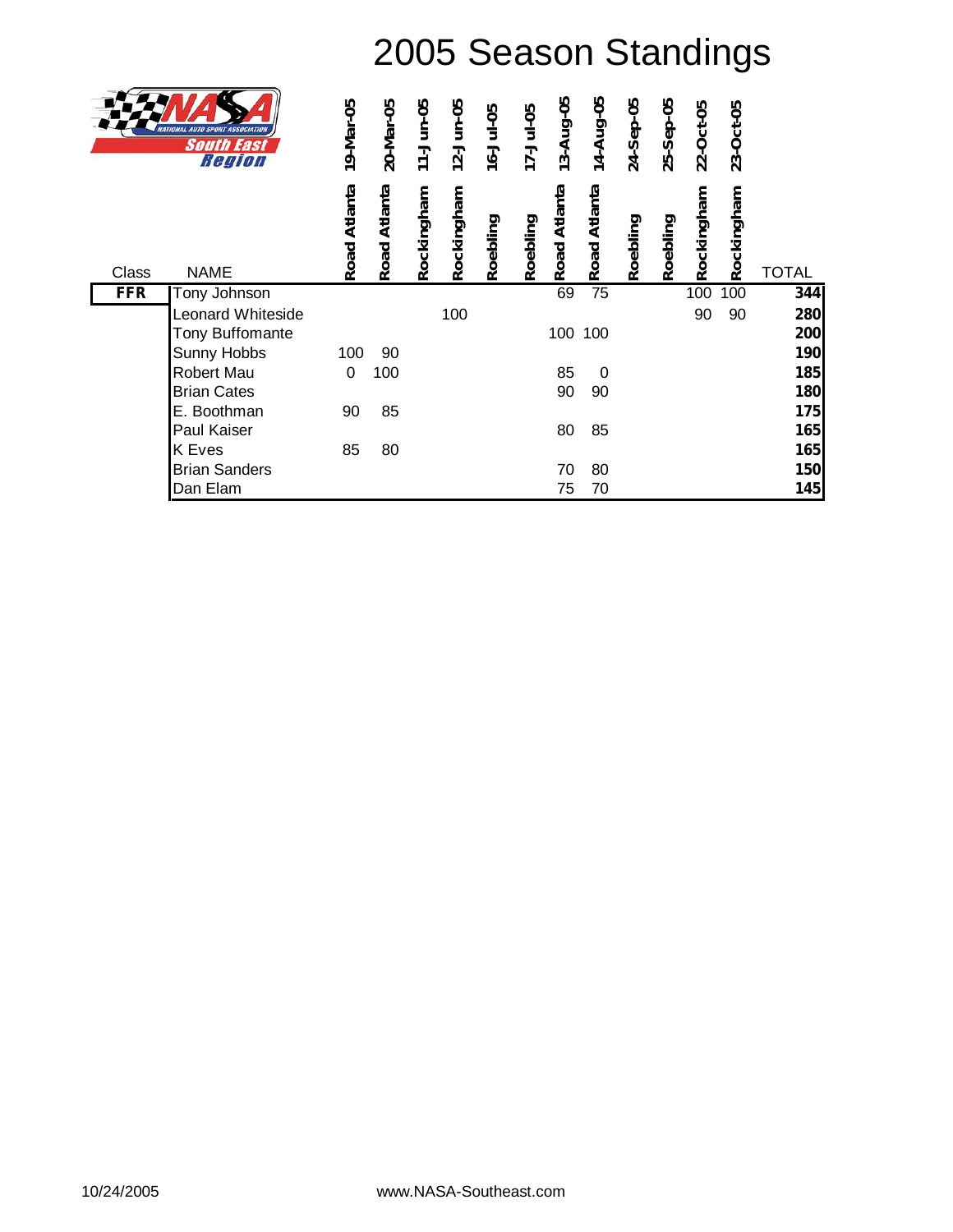|            | <b>ASSOCIATION</b><br>South East<br>Region | 19-Mar-05       | 20-Mar-05       | 11-Jun-05  | 12-Jun-05  | 16-Jul-05 | 17-Jul-05 | 13-Aug-05    | 14-Aug-05       | 24-Sep-05 | 25-Sep-05 | 22-Oct-05  | 23-Oct-05  |              |
|------------|--------------------------------------------|-----------------|-----------------|------------|------------|-----------|-----------|--------------|-----------------|-----------|-----------|------------|------------|--------------|
| Class      | <b>NAME</b>                                | Atlanta<br>Road | Atlanta<br>Road | Rockingham | Rockingham | Roebling  | Roebling  | Road Atlanta | Atlanta<br>Road | Roebling  | Roebling  | Rockingham | Rockingham | <b>TOTAL</b> |
| <b>FFR</b> | Tony Johnson                               |                 |                 |            |            |           |           | 69           | $\overline{75}$ |           |           | 100        | 100        | 344          |
|            | <b>Leonard Whiteside</b>                   |                 |                 |            | 100        |           |           |              |                 |           |           | 90         | 90         | 280          |
|            | <b>Tony Buffomante</b>                     |                 |                 |            |            |           |           | 100          | 100             |           |           |            |            | 200          |
|            | Sunny Hobbs                                | 100             | 90              |            |            |           |           |              |                 |           |           |            |            | 190          |
|            | Robert Mau                                 | $\mathbf{0}$    | 100             |            |            |           |           | 85           | 0               |           |           |            |            | 185          |
|            | <b>Brian Cates</b>                         |                 |                 |            |            |           |           | 90           | 90              |           |           |            |            | 180          |
|            | E. Boothman                                | 90              | 85              |            |            |           |           |              |                 |           |           |            |            | 175          |
|            | Paul Kaiser                                |                 |                 |            |            |           |           | 80           | 85              |           |           |            |            | 165          |
|            | <b>K</b> Eves                              | 85              | 80              |            |            |           |           |              |                 |           |           |            |            | 165          |
|            | <b>Brian Sanders</b>                       |                 |                 |            |            |           |           | 70           | 80              |           |           |            |            | 150          |
|            | Dan Elam                                   |                 |                 |            |            |           |           | 75           | 70              |           |           |            |            | 145          |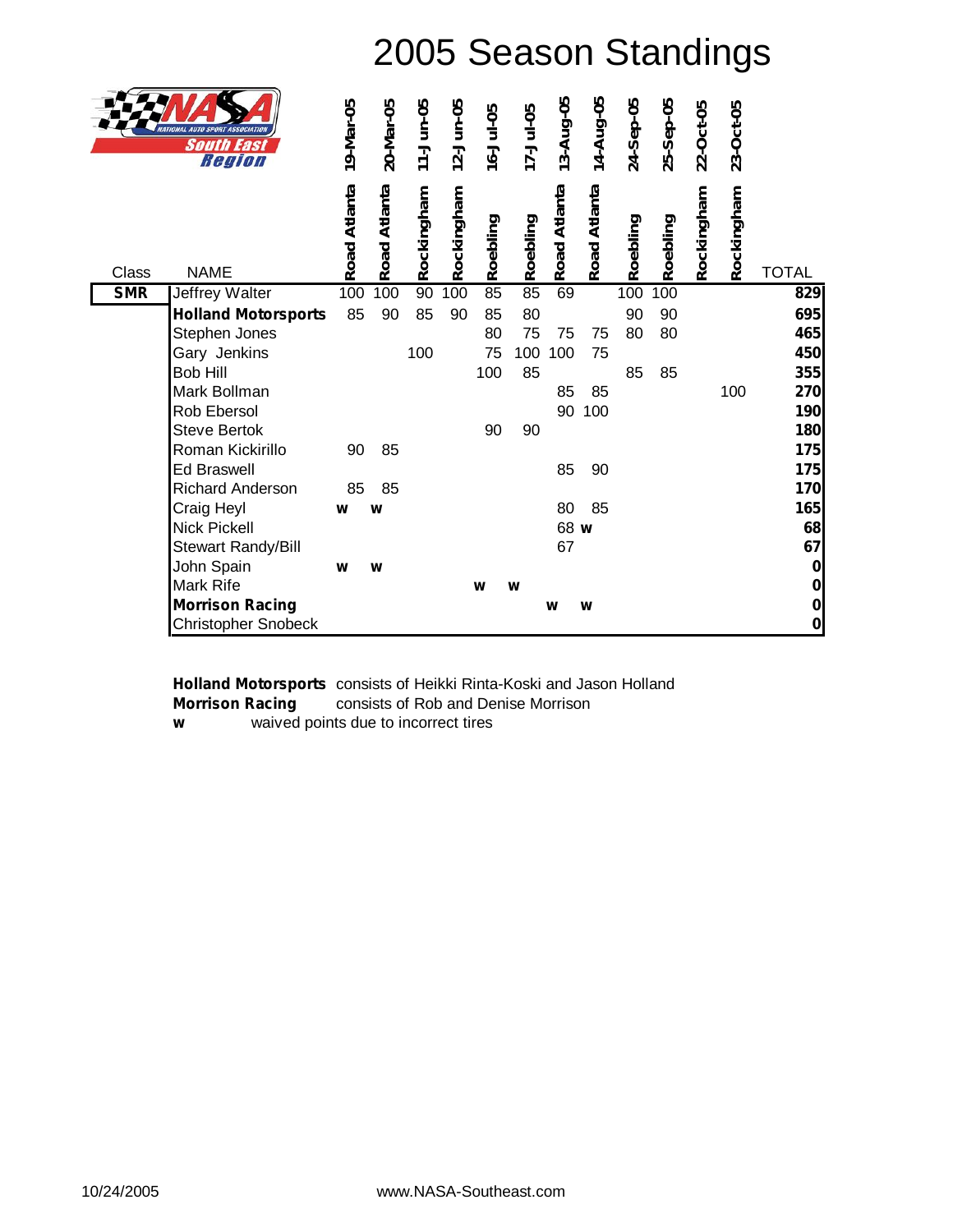|            | ATIONAL AUTO SPORT ASSOCIATION<br><b>South East</b><br>Region | 19-Mar-05    | 20-Mar-05    | 11-Jun-05  | 12-Jun-05  | 16-Jul-05 | 17-Jul-05 | 13-Aug-05    | 14-Aug-05    | 24-Sep-05 | 25-Sep-05        | 22-Oct-05  | 23-Oct-05  |              |
|------------|---------------------------------------------------------------|--------------|--------------|------------|------------|-----------|-----------|--------------|--------------|-----------|------------------|------------|------------|--------------|
| Class      | <b>NAME</b>                                                   | Road Atlanta | Road Atlanta | Rockingham | Rockingham | Roebling  | Roebling  | Road Atlanta | Road Atlanta | Roebling  | Roebling         | Rockingham | Rockingham | <b>TOTAL</b> |
| <b>SMR</b> | <b>Jeffrey Walter</b>                                         | 100          | 100          | 90         | 100        | 85        | 85        | 69           |              | 100       | $\overline{100}$ |            |            | 829          |
|            | <b>Holland Motorsports</b>                                    | 85           | 90           | 85         | 90         | 85        | 80        |              |              | 90        | 90               |            |            | 695          |
|            | Stephen Jones                                                 |              |              |            |            | 80        | 75        | 75           | 75           | 80        | 80               |            |            | 465          |
|            | Gary Jenkins                                                  |              |              | 100        |            | 75        | 100       | 100          | 75           |           |                  |            |            | 450          |
|            | <b>Bob Hill</b>                                               |              |              |            |            | 100       | 85        |              |              | 85        | 85               |            |            | 355          |
|            | Mark Bollman                                                  |              |              |            |            |           |           | 85           | 85           |           |                  |            | 100        | 270          |
|            | Rob Ebersol                                                   |              |              |            |            |           |           | 90           | 100          |           |                  |            |            | 190          |
|            | <b>Steve Bertok</b>                                           |              |              |            |            | 90        | 90        |              |              |           |                  |            |            | 180          |
|            | Roman Kickirillo                                              | 90           | 85           |            |            |           |           |              |              |           |                  |            |            | 175          |
|            | <b>Ed Braswell</b>                                            |              |              |            |            |           |           | 85           | 90           |           |                  |            |            | 175          |
|            | Richard Anderson                                              | 85           | 85           |            |            |           |           |              |              |           |                  |            |            | 170          |
|            | Craig Heyl                                                    | W            | W            |            |            |           |           | 80           | 85           |           |                  |            |            | 165          |
|            | Nick Pickell                                                  |              |              |            |            |           |           | 68 w         |              |           |                  |            |            | 68           |
|            | Stewart Randy/Bill                                            |              |              |            |            |           |           | 67           |              |           |                  |            |            | 67           |
|            | John Spain                                                    | W            | W            |            |            |           |           |              |              |           |                  |            |            | $\mathbf 0$  |
|            | Mark Rife                                                     |              |              |            |            | W         | W         |              |              |           |                  |            |            | $\bf{0}$     |
|            | <b>Morrison Racing</b>                                        |              |              |            |            |           |           | W            | W            |           |                  |            |            | $\bf{0}$     |
|            | <b>Christopher Snobeck</b>                                    |              |              |            |            |           |           |              |              |           |                  |            |            | $\bf{0}$     |

**Holland Motorsports** consists of Heikki Rinta-Koski and Jason Holland **Morrison Racing** consists of Rob and Denise Morrison *w* waived points due to incorrect tires